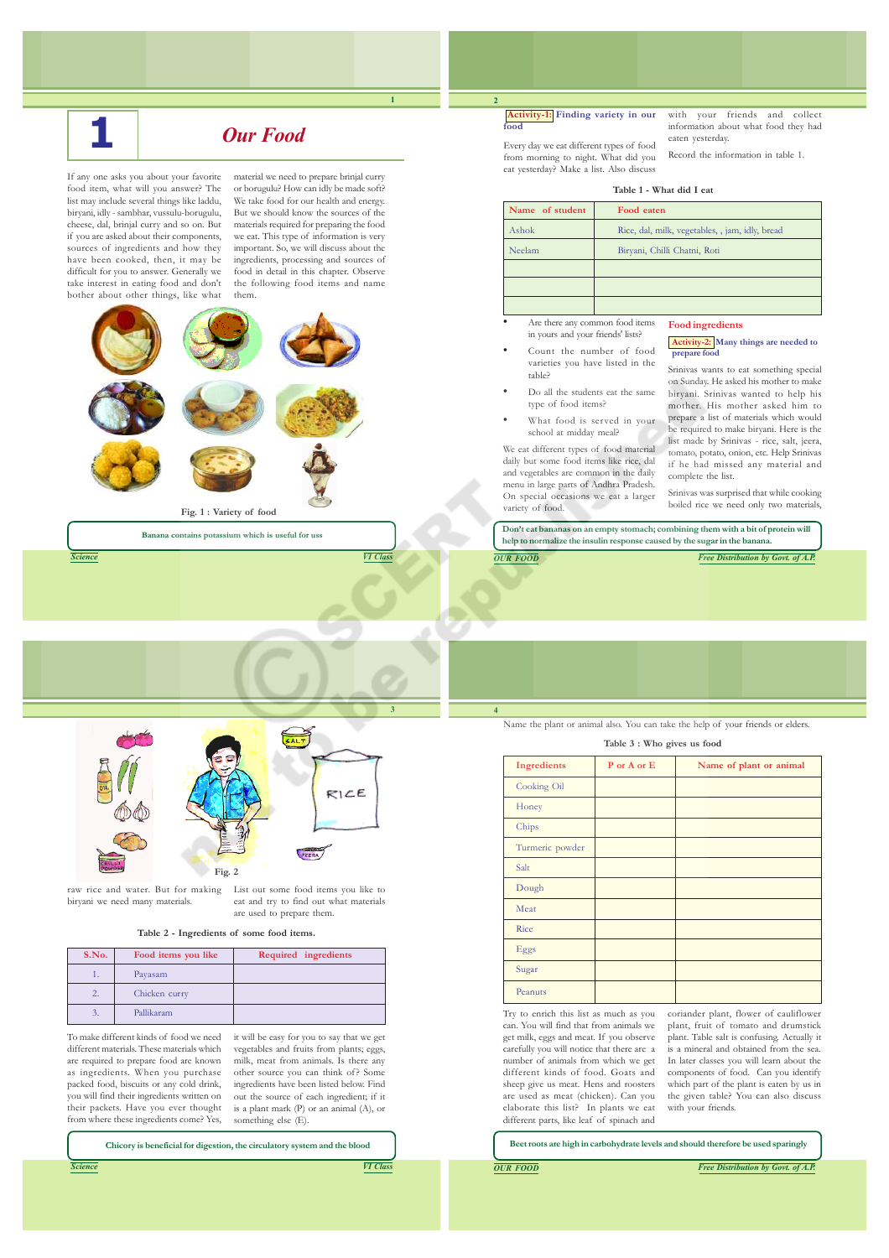

# **1** *Our Food*

If any one asks you about your favorite food item, what will you answer? The list may include several things like laddu, biryani, idly - sambhar, vussulu-borugulu, cheese, dal, brinjal curry and so on. But if you are asked about their components, sources of ingredients and how they have been cooked, then, it may be difficult for you to answer. Generally we take interest in eating food and don't bother about other things, like what

material we need to prepare brinjal curry or borugulu? How can idly be made soft? We take food for our health and energy. But we should know the sources of the materials required for preparing the food we eat. This type of information is very important. So, we will discuss about the ingredients, processing and sources of food in detail in this chapter. Observe the following food items and name them.

**1**



**Banana contains potassium which is useful for uss**

*Science VI Class*

**3**



raw rice and water. But for making List out some food items you like to biryani we need many materials.

eat and try to find out what materials are used to prepare them.

## **Table 2 - Ingredients of some food items.**

| S.No.          | Food items you like | Required ingredients |
|----------------|---------------------|----------------------|
| 1.             | Payasam             |                      |
| $\overline{2}$ | Chicken curry       |                      |
| 3.             | Pallikaram          |                      |

To make different kinds of food we need different materials. These materials which are required to prepare food are known as ingredients. When you purchase packed food, biscuits or any cold drink, you will find their ingredients written on their packets. Have you ever thought from where these ingredients come? Yes,

it will be easy for you to say that we get vegetables and fruits from plants; eggs, milk, meat from animals. Is there any other source you can think of? Some ingredients have been listed below. Find out the source of each ingredient; if it is a plant mark (P) or an animal (A), or something else (E).

**Chicory is beneficial for digestion, the circulatory system and the blood**

*Science VI Class*

 **Activity-1: Finding variety in our food**

**2**

with your friends and collect information about what food they had eaten yesterday.

Every day we eat different types of food from morning to night. What did you eat yesterday? Make a list. Also discuss

Record the information in table 1.

#### **Table 1 - What did I eat**

| Name of student | Food eaten                                      |  |
|-----------------|-------------------------------------------------|--|
| Ashok           | Rice, dal, milk, vegetables, , jam, idly, bread |  |
| Neelam          | Biryani, Chilli Chatni, Roti                    |  |
|                 |                                                 |  |
|                 |                                                 |  |
|                 |                                                 |  |

#### Are there any common food items **Food ingredients**

**Activity-2: Many things are needed to prepare food** Srinivas wants to eat something special

Count the number of food varieties you have listed in the table? • Do all the students eat the same

in yours and your friends' lists?

- type of food items?
- What food is served in your school at midday meal?

We eat different types of food material daily but some food items like rice, dal and vegetables are common in the daily menu in large parts of Andhra Pradesh. On special occasions we eat a larger variety of food.

on Sunday. He asked his mother to make biryani. Srinivas wanted to help his mother. His mother asked him to prepare a list of materials which would be required to make biryani. Here is the list made by Srinivas - rice, salt, jeera, tomato, potato, onion, etc. Help Srinivas if he had missed any material and complete the list.

Srinivas was surprised that while cooking boiled rice we need only two materials,

**Don't eat bananas on an empty stomach; combining them with a bit of protein will help to normalize the insulin response caused by the sugar in the banana.**

**4**

*OUR FOOD Free Distribution by Govt. of A.P.*



**Table 3 : Who gives us food**

| Ingredients     | P or A or E | Name of plant or animal |
|-----------------|-------------|-------------------------|
| Cooking Oil     |             |                         |
| Honey           |             |                         |
| Chips           |             |                         |
| Turmeric powder |             |                         |
| Salt            |             |                         |
| Dough           |             |                         |
| Meat            |             |                         |
| Rice            |             |                         |
| Eggs            |             |                         |
| Sugar           |             |                         |
| Peanuts         |             |                         |

Try to enrich this list as much as you can. You will find that from animals we get milk, eggs and meat. If you observe carefully you will notice that there are a number of animals from which we get different kinds of food. Goats and sheep give us meat. Hens and roosters are used as meat (chicken). Can you elaborate this list? In plants we eat different parts, like leaf of spinach and

coriander plant, flower of cauliflower plant, fruit of tomato and drumstick plant. Table salt is confusing. Actually it is a mineral and obtained from the sea. In later classes you will learn about the components of food. Can you identify which part of the plant is eaten by us in the given table? You can also discuss with your friends.

**Beet roots are high in carbohydrate levels and should therefore be used sparingly**

*OUR FOOD Free Distribution by Govt. of A.P.*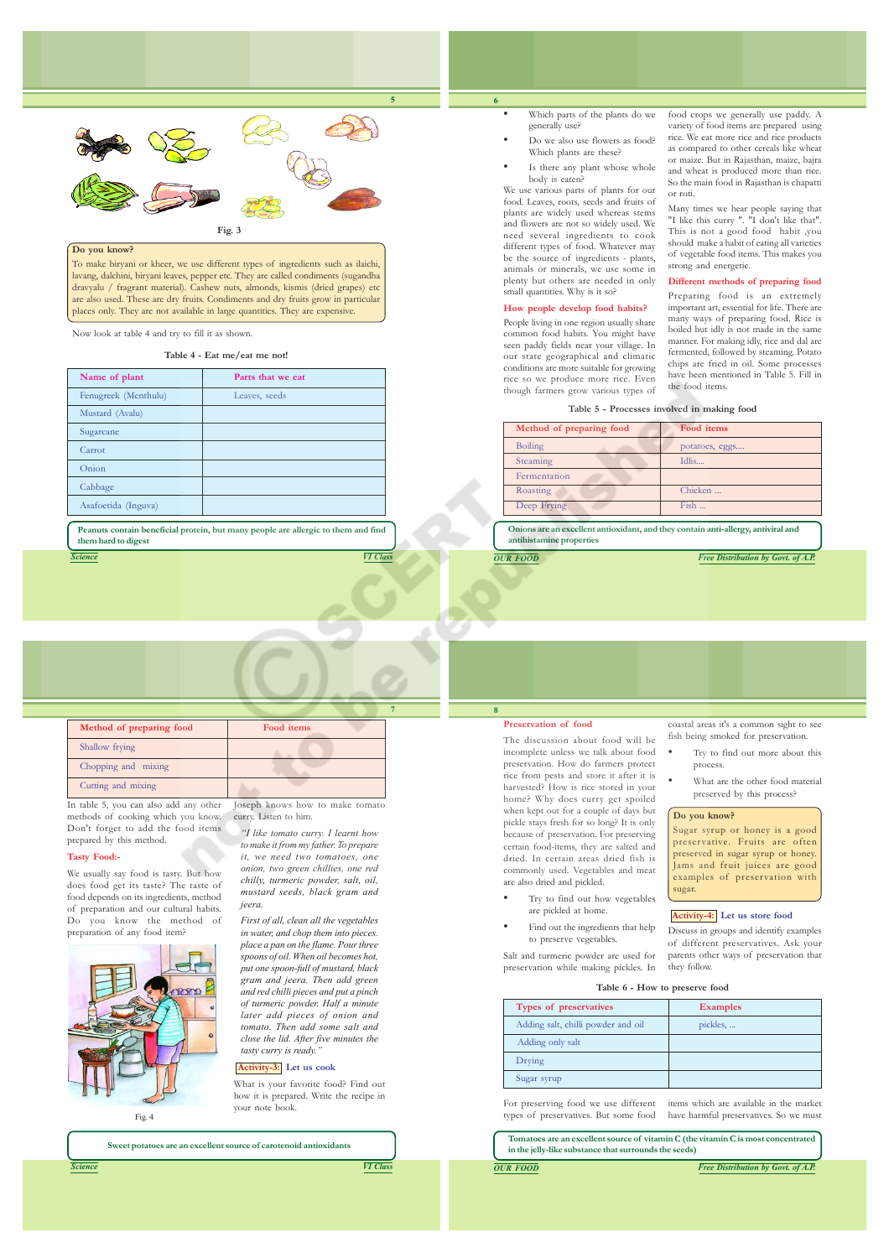

#### **Do you know?**

To make biryani or kheer, we use different types of ingredients such as ilaichi, lavang, dalchini, biryani leaves, pepper etc. They are called condiments (sugandha dravyalu / fragrant material). Cashew nuts, almonds, kismis (dried grapes) etc are also used. These are dry fruits. Condiments and dry fruits grow in particular places only. They are not available in large quantities. They are expensive.

Now look at table 4 and try to fill it as shown.

#### **Table 4 - Eat me/eat me not!**

| Name of plant        |  | Parts that we eat |  |
|----------------------|--|-------------------|--|
| Fenugreek (Menthulu) |  | Leaves, seeds     |  |
| Mustard (Avalu)      |  |                   |  |
| Sugarcane            |  |                   |  |
| Carrot               |  |                   |  |
| Onion                |  |                   |  |
| Cabbage              |  |                   |  |
| Asafoetida (Inguva)  |  |                   |  |

**Peanuts contain beneficial protein, but many people are allergic to them and find them hard to digest**

*Science VI Class*

#### **6** Which parts of the plants do we

**5**

- generally use? • Do we also use flowers as food?
- Which plants are these? Is there any plant whose whole
- body is eaten? We use various parts of plants for our

food. Leaves, roots, seeds and fruits of plants are widely used whereas stems and flowers are not so widely used. We need several ingredients to cook different types of food. Whatever may be the source of ingredients - plants animals or minerals, we use some in plenty but others are needed in only small quantities. Why is it so?

#### **How people develop food habits?**

People living in one region usually share common food habits. You might have seen paddy fields near your village. In our state geographical and climatic conditions are more suitable for growing rice so we produce more rice. Even though farmers grow various types of

food crops we generally use paddy. A variety of food items are prepared using rice. We eat more rice and rice products as compared to other cereals like wheat or maize. But in Rajasthan, maize, bajra and wheat is produced more than rice. So the main food in Rajasthan is chapatti or roti.

Many times we hear people saying that "I like this curry ". "I don't like that". This is not a good food habit ,you should make a habit of eating all varieties of vegetable food items. This makes you strong and energetic.

#### **Different methods of preparing food**

Preparing food is an extremely important art, essential for life. There are many ways of preparing food. Rice is boiled but idly is not made in the same manner. For making idly, rice and dal are fermented, followed by steaming. Potato chips are fried in oil. Some processes have been mentioned in Table 5. Fill in the food items.

#### **Table 5 - Processes involved in making food**

| Method of preparing food | Food items     |
|--------------------------|----------------|
| Boiling                  | potatoes, eggs |
| Steaming                 | Idlis          |
| Fermentation             |                |
| Roasting                 | Chicken        |
| Deep Frying              | Fish           |

**Onions are an excellent antioxidant, and they contain anti-allergy, antiviral and antihistamine properties**

*OUR FOOD Free Distribution by Govt. of A.P.*

coastal areas it's a common sight to see fish being smoked for preservation. • Try to find out more about this

Sugar syrup or honey is a good preservative. Fruits are often preserved in sugar syrup or honey. Jams and fruit juices are good examples of preservation with

**Activity-4: Let us store food** Discuss in groups and identify examples of different preservatives. Ask your parents other ways of preservation that

What are the other food material preserved by this process?

process.

**Do you know?**

sugar.

they follow.

| Method of preparing food | Food items |
|--------------------------|------------|
| Shallow frying           |            |
| Chopping and mixing      |            |
| Cutting and mixing       |            |

In table 5, you can also add any other methods of cooking which you know. Don't forget to add the food items prepared by this method.

#### **Tasty Food:-**

We usually say food is tasty. But how does food get its taste? The taste of food depends on its ingredients, method of preparation and our cultural habits. Do you know the method of preparation of any food item?



Fig. 4

Joseph knows how to make tomato curry. Listen to him.

*"I like tomato curry. I learnt how to make it from my father. To prepare it, we need two tomatoes, one onion, two green chillies, one red chilly, turmeric powder, salt, oil, mustard seeds, black gram and jeera.*

*First of all, clean all the vegetables in water, and chop them into pieces. place a pan on the flame. Pour three spoons of oil. When oil becomes hot, put one spoon-full of mustard, black gram and jeera. Then add green and red chilli pieces and put a pinch of turmeric powder. Half a minute later add pieces of onion and tomato. Then add some salt and close the lid. After five minutes the* tasty curry is ready.

#### **Activity-3: Let us cook**

What is your favorite food? Find out how it is prepared. Write the recipe in your note book.

**Sweet potatoes are an excellent source of carotenoid antioxidants**

*Science VI Class*

**7**

#### **Preservation of food**

**8**

The discussion about food will be incomplete unless we talk about food preservation. How do farmers protect rice from pests and store it after it is harvested? How is rice stored in your home? Why does curry get spoiled when kept out for a couple of days but pickle stays fresh for so long? It is only because of preservation. For preserving certain food-items, they are salted and dried. In certain areas dried fish is commonly used. Vegetables and meat are also dried and pickled.

- Try to find out how vegetables are pickled at home.
- Find out the ingredients that help to preserve vegetables.

Salt and turmeric powder are used for preservation while making pickles. In

### **Table 6 - How to preserve food**

| Types of preservatives             | <b>Examples</b> |
|------------------------------------|-----------------|
| Adding salt, chilli powder and oil | pickles,        |
| Adding only salt                   |                 |
| Drying                             |                 |
| Sugar syrup                        |                 |

For preserving food we use different types of preservatives. But some food

items which are available in the market have harmful preservatives. So we must

*OUR FOOD Free Distribution by Govt. of A.P.* **Tomatoes are an excellent source of vitamin C (the vitamin C is most concentrated in the jelly-like substance that surrounds the seeds)**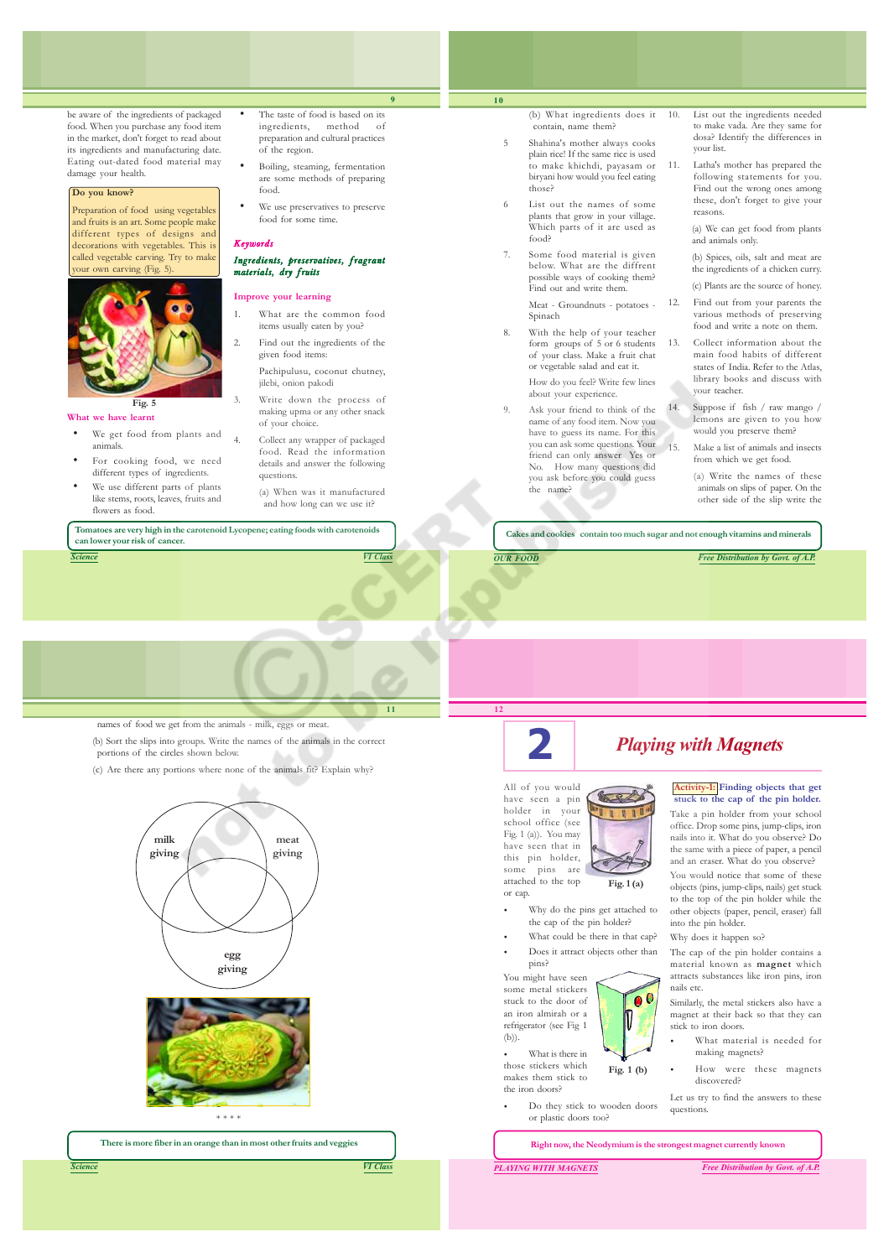be aware of the ingredients of packaged food. When you purchase any food item in the market, don't forget to read about its ingredients and manufacturing date. Eating out-dated food material may damage your health.

**Do you know?**

Preparation of food using vegetables and fruits is an art. Some people mak different types of designs and decorations with vegetables. This is called vegetable carving. Try to make your own carving (Fig. 5).



#### **Fig. 5 What we have learnt**

- We get food from plants and
- animals. For cooking food, we need
- different types of ingredients. We use different parts of plants
- like stems, roots, leaves, fruits and flowers as food.

**Tomatoes are very high in the carotenoid Lycopene; eating foods with carotenoids can lower your risk of cancer.**

The taste of food is based on its ingredients, method of preparation and cultural practices of the region.

**9**

- Boiling, steaming, fermentation are some methods of preparing food.
- We use preservatives to preserve food for some time.

#### Keywords

#### Ingredients, preservatives, fragrant o<br>aterials, dry fruits

#### **Improve your learning**

- 1. What are the common food items usually eaten by you?
- 2. Find out the ingredients of the given food items:
	- Pachipulusu, coconut chutney, jilebi, onion pakodi
	- Write down the process of making upma or any other snack of your choice.
- 4. Collect any wrapper of packaged food. Read the information details and answer the following questions.
	- and how long can we use it?

(a) When was it manufactured

*Science VI Class*

**11**

**10** (b) What ingredients does it

- contain, name them? 5 Shahina's mother always cooks
- plain rice! If the same rice is used to make khichdi, payasam or biryani how would you feel eating those?
- 6 List out the names of some plants that grow in your village. Which parts of it are used as food?
- 7. Some food material is given below. What are the diffrent possible ways of cooking them? Find out and write them.
	- Meat Groundnuts potatoes Spinach
- 8. With the help of your teacher form groups of 5 or 6 students of your class. Make a fruit chat or vegetable salad and eat it. How do you feel? Write few lines about your experience.
- 9. Ask your friend to think of the name of any food item. Now you have to guess its name. For this you can ask some questions. Your friend can only answer Yes or No. How many questions did you ask before you could guess the name?

10. List out the ingredients needed to make vada. Are they same for dosa? Identify the differences in your list.

- 11. Latha's mother has prepared the following statements for you. Find out the wrong ones among these, don't forget to give your reasons.
	- (a) We can get food from plants and animals only.
	- (b) Spices, oils, salt and meat are the ingredients of a chicken curry. (c) Plants are the source of honey.
- 12. Find out from your parents the various methods of preserving food and write a note on them.
- 13. Collect information about the main food habits of different states of India. Refer to the Atlas, library books and discuss with your teacher.
- 14. Suppose if fish / raw mango / lemons are given to you how would you preserve them?
	- Make a list of animals and insects from which we get food.

(a) Write the names of these animals on slips of paper. On the other side of the slip write the

**Cakes and cookies contain too much sugar and not enough vitamins and minerals**

*OUR FOOD Free Distribution by Govt. of A.P.*

**Activity-1: Finding objects that get stuck to the cap of the pin holder.** Take a pin holder from your school office. Drop some pins, jump-clips, iron nails into it. What do you observe? Do the same with a piece of paper, a pencil and an eraser. What do you observe? You would notice that some of these objects (pins, jump-clips, nails) get stuck to the top of the pin holder while the other objects (paper, pencil, eraser) fall



(b) Sort the slips into groups. Write the names of the animals in the correct portions of the circles shown below.

(c) Are there any portions where none of the animals fit? Explain why?





**There is more fiber in an orange than in most other fruits and veggies**

*Science VI Class*



or cap.

**12**

All of you would a all have seen a pin holder in your school office (see Fig. 1 (a)). You may have seen that in this pin holder,<br>some pins are pins are attached to the top **Fig. 1 (a)**

- Why do the pins get attached to the cap of the pin holder?
- Does it attract objects other than

You might have seen some metal stickers stuck to the door of an iron almirah or a refrigerator (see Fig 1 (b)).

What is there in those stickers which makes them stick to the iron doors?

- Do they stick to wooden doors or plastic doors too?
	- **Right now, the Neodymium is the strongest magnet currently known**

*PLAYING WITH MAGNETS Free Distribution by Govt. of A.P.*





into the pin holder. Why does it happen so?

making magnets? • How were these magnets

The cap of the pin holder contains a material known as **magnet** which attracts substances like iron pins, iron

discovered?

Let us try to find the answers to these questions.



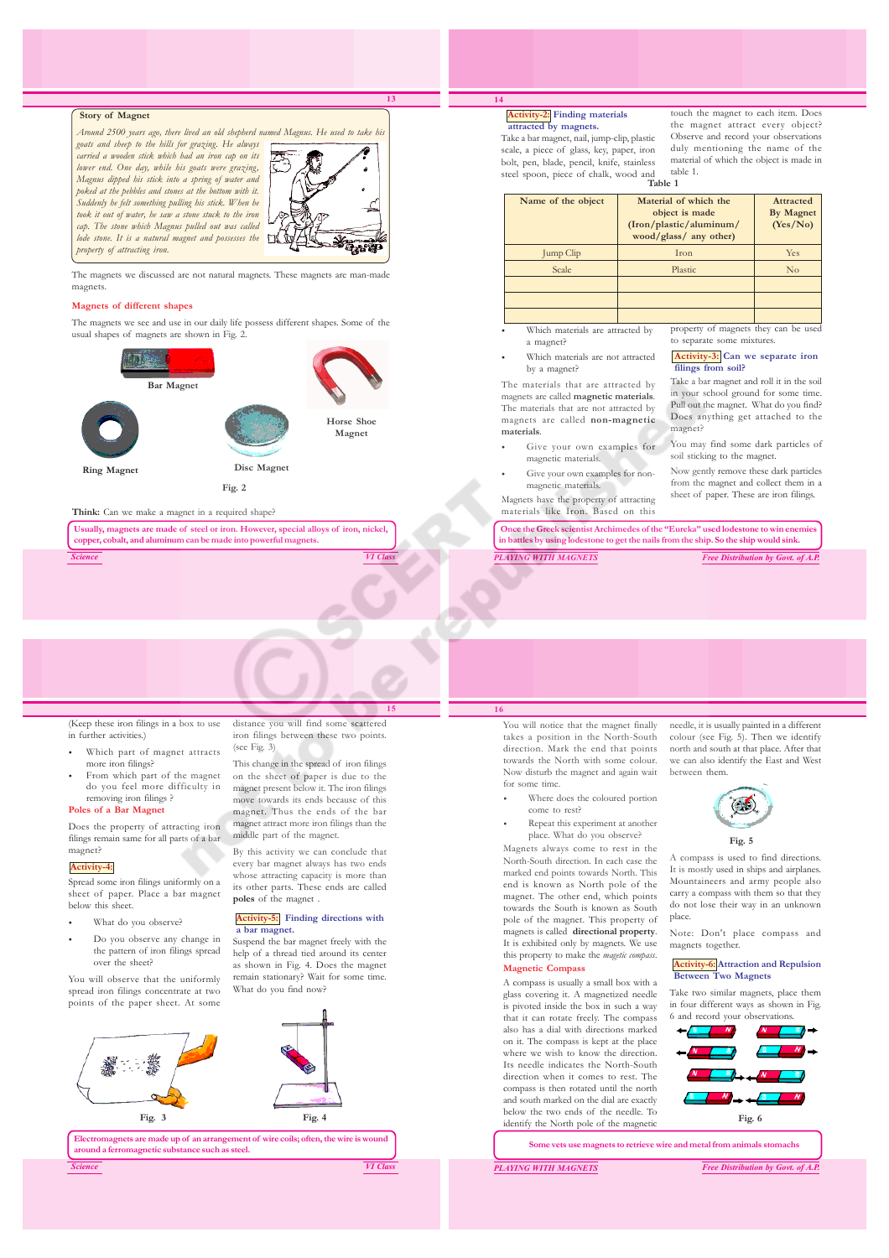#### **Story of Magnet**

*Around 2500 years ago, there lived an old shepherd named Magnus. He used to take his goats and sheep to the hills for grazing. He always carried a wooden stick which had an iron cap on its lower end. One day, while his goats were grazing, Magnus dipped his stick into a spring of water and poked at the pebbles and stones at the bottom with it. Suddenly he felt something pulling his stick. When he took it out of water, he saw a stone stuck to the iron cap. The stone which Magnus pulled out was called lode stone. It is a natural magnet and possesses the property of attracting iron.*



**13**

The magnets we discussed are not natural magnets. These magnets are man-made magnets.

#### **Magnets of different shapes**

The magnets we see and use in our daily life possess different shapes. Some of the usual shapes of magnets are shown in Fig. 2.



#### Think: Can we make a magnet in a required shape?

*Science VI Class* **Usually, magnets are made of steel or iron. However, special alloys of iron, nickel, copper, cobalt, and aluminum can be made into powerful magnets.**

(Keep these iron filings in a box to use in further activities.)

- Which part of magnet attracts more iron filings?
- From which part of the magnet do you feel more difficulty in removing iron filings ?

#### **Poles of a Bar Magnet**

Does the property of attracting iron filings remain same for all parts of a bar magnet?

#### **Activity-4:**

Spread some iron filings uniformly on a sheet of paper. Place a bar magnet below this sheet.

- What do you observe?
- Do you observe any change in the pattern of iron filings spread over the sheet?

You will observe that the uniformly spread iron filings concentrate at two points of the paper sheet. At some

distance you will find some scattered iron filings between these two points. (see Fig.  $3$ )

**15**

This change in the spread of iron filings on the sheet of paper is due to the magnet present below it. The iron filings move towards its ends because of this magnet. Thus the ends of the bar magnet attract more iron filings than the middle part of the magnet.

By this activity we can conclude that every bar magnet always has two ends whose attracting capacity is more than its other parts. These ends are called **poles** of the magnet .

#### **Activity-5: Finding directions with bar** magnet.

Suspend the bar magnet freely with the help of a thread tied around its center as shown in Fig. 4. Does the magnet remain stationary? Wait for some time. What do you find now?



**Electromagnets are made up of an arrangement of wire coils; often, the wire is wound around a ferromagnetic substance such as steel.**

*Science VI Class*

# **Activity-2: Finding materials**

**14**

 **attracted by magnets.** Take a bar magnet, nail, jump-clip, plastic scale, a piece of glass, key, paper, iron bolt, pen, blade, pencil, knife, stainless steel spoon, piece of chalk, wood and

touch the magnet to each item. Does the magnet attract every object? Observe and record your observations duly mentioning the name of the material of which the object is made in table 1. **Table 1**

**Activity-3: Can we separate iron**

Take a bar magnet and roll it in the soil in your school ground for some time. Pull out the magnet. What do you find? Does anything get attached to the

You may find some dark particles of soil sticking to the magnet Now gently remove these dark particles from the magnet and collect them in a sheet of paper. These are iron filings.

**filings from soil?**

magnet?

| Name of the object | Material of which the<br>object is made<br>(Iron/plastic/aluminum/<br>wood/glass/ any other) | Attracted<br>By Magnet<br>(Yes/No) |
|--------------------|----------------------------------------------------------------------------------------------|------------------------------------|
| Jump Clip          | Iron                                                                                         | Yes                                |
| Scale              | Plastic                                                                                      | N <sub>o</sub>                     |
|                    |                                                                                              |                                    |
|                    |                                                                                              |                                    |
|                    |                                                                                              |                                    |

Which materials are attracted by a magnet? property of magnets they can be used to separate some mixtures.

• Which materials are not attracted by a magnet?

The materials that are attracted by magnets are called **magnetic materials**. The materials that are not attracted by magnets are called **non-magnetic materials**.

- Give your own examples for magnetic materials. Give your own examples for non-
- magnetic materials.

Magnets have the property of attracting materials like Iron. Based on this

*PLAYING WITH MAGNETS Free Distribution by Govt. of A.P.* **Once the Greek scientist Archimedes of the "Eureka" used lodestone to win enemies in battles by using lodestone to get the nails from the ship. So the ship would sink.**

You will notice that the magnet finally takes a position in the North-South direction. Mark the end that points towards the North with some colour. Now disturb the magnet and again wait for some time.

**16**

- Where does the coloured portion come to rest?
- Repeat this experiment at another
- place. What do you observe? Magnets always come to rest in the

North-South direction. In each case the marked end points towards North. This end is known as North pole of the magnet. The other end, which points towards the South is known as South pole of the magnet. This property of magnets is called **directional property**. It is exhibited only by magnets. We use this property to make the *magetic compass*.

#### **Magnetic Compass**

A compass is usually a small box with a glass covering it. A magnetized needle is pivoted inside the box in such a way that it can rotate freely. The compass also has a dial with directions marked on it. The compass is kept at the place where we wish to know the direction. Its needle indicates the North-South direction when it comes to rest. The compass is then rotated until the north and south marked on the dial are exactly below the two ends of the needle. To identify the North pole of the magnetic

needle, it is usually painted in a different colour (see Fig. 5). Then we identify north and south at that place. After that we can also identify the East and West between them.



A compass is used to find directions. It is mostly used in ships and airplanes. Mountaineers and army people also carry a compass with them so that they do not lose their way in an unknown place.

Note: Don't place compass and magnets together

#### **Activity-6: Attraction and Repulsion Between Two Magnets**

Take two similar magnets, place them in four different ways as shown in Fig. 6 and record your observations.



**Some vets use magnets to retrieve wire and metal from animals stomachs**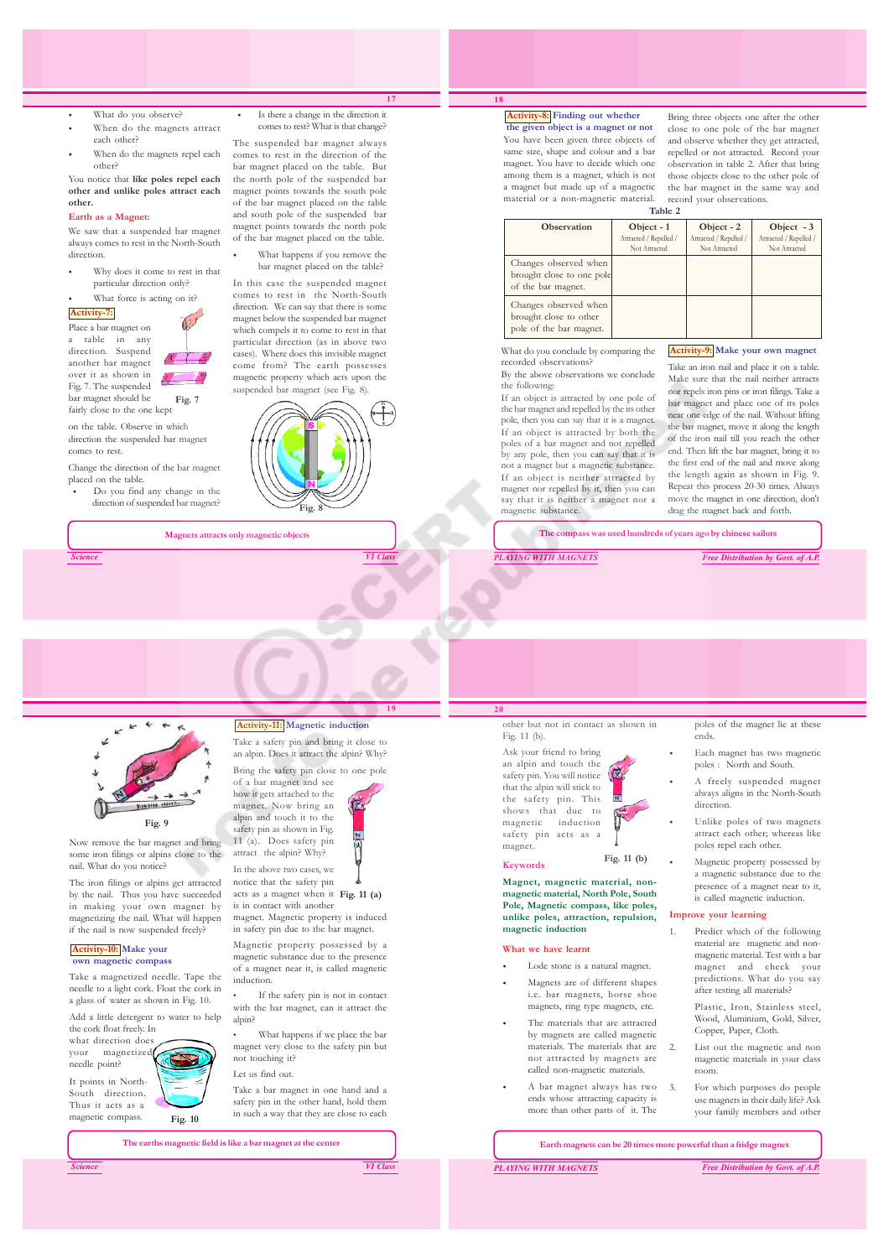- What do you observe?
- When do the magnets attract each other?
- When do the magnets repel each other?

You notice that **like poles repel each other and unlike poles attract each other.**

#### **Earth as a Magnet:**

We saw that a suspended bar magnet always comes to rest in the North-South direction.

• Why does it come to rest in that particular direction only?

# What force is acting on it?

**Activity-7:** Place a bar magnet on table in any direction. Suspend another bar magnet over it as shown in

Fig. 7. The suspended bar magnet should be fairly close to the one kept **Fig. 7**

on the table. Observe in which direction the suspended bar magnet comes to rest.

Change the direction of the bar magnet placed on the table.

 • Do you find any change in the direction of suspended bar magnet? Is there a change in the direction it comes to rest? What is that change?

**17**

The suspended bar magnet always comes to rest in the direction of the bar magnet placed on the table. But the north pole of the suspended bar magnet points towards the south pole of the bar magnet placed on the table and south pole of the suspended bar magnet points towards the north pole of the bar magnet placed on the table.

What happens if you remove the bar magnet placed on the table?

In this case the suspended magnet comes to rest in the North-South direction. We can say that there is some magnet below the suspended bar magnet which compels it to come to rest in that particular direction (as in above two cases). Where does this invisible magnet come from? The earth possesses magnetic property which acts upon the suspended bar magnet (see Fig. 8).



**Fig. 8**

**Magnets attracts only magnetic objects**

*Science VI Class*

**Fig. 9**

Now remove the bar magnet and bring some iron filings or alpins close to the nail. What do you notice?

The iron filings or alpins get attracted by the nail. Thus you have succeeded in making your own magnet by magnetizing the nail. What will happen if the nail is now suspended freely?

#### **Activity-10: Make your own magnetic compass**

Take a magnetized needle. Tape the needle to a light cork. Float the cork in a glass of water as shown in Fig. 10.

Add a little detergent to water to help the cork float freely. In

what direction does your magnetized needle point? It points in North-

South direction. Thus it acts as a magnetic compass.

 **Activity-11: Magnetic induction**

an alpin. Does it attract the alpin? Why?

of a bar magnet and see how it gets attached to the magnet. Now bring an alpin and touch it to the safety pin as shown in Fig. 11 (a). Does safety pin attract the alpin? Why?

In the above two cases, we notice that the safety pin acts as a magnet when it **Fig. 11 (a)** is in contact with another

magnet. Magnetic property is induced

Magnetic property possessed by a magnetic substance due to the presence of a magnet near it, is called magnetic induction.

• What happens if we place the bar magnet very close to the safety pin but not touching it?

## Let us find out.

Take a bar magnet in one hand and a safety pin in the other hand, hold them in such a way that they are close to each

**The earths magnetic field is like a bar magnet at the center**

**Fig. 10**



# Take a safety pin and bring it close to

**19**

Bring the safety pin close to one pole

N

in safety pin due to the bar magnet.

If the safety pin is not in contact with the bar magnet, can it attract the alpin?

# **Activity-8: Finding out whether**

**18**

 **the given object is a magnet or not.** You have been given three objects of same size, shape and colour and a bar magnet. You have to decide which one among them is a magnet, which is not a magnet but made up of a magnetic material or a non-magnetic material.

Bring three objects one after the other close to one pole of the bar magnet and observe whether they get attracted, repelled or not attracted. Record your observation in table 2. After that bring those objects close to the other pole of the bar magnet in the same way and record your observations. **Table 2**

| Observation                                                                | Object - 1<br>Attracted / Repelled /<br>Not Attracted | Object - 2<br>Attracted / Repelled /<br>Not Attracted | Object $-3$<br>Attracted / Repelled /<br>Not Attracted |
|----------------------------------------------------------------------------|-------------------------------------------------------|-------------------------------------------------------|--------------------------------------------------------|
| Changes observed when<br>brought close to one pole<br>of the bar magnet.   |                                                       |                                                       |                                                        |
| Changes observed when<br>brought close to other<br>pole of the bar magnet. |                                                       |                                                       |                                                        |

What do you conclude by comparing the recorded observations?

By the above observations we conclude the following:

If an object is attracted by one pole of the bar magnet and repelled by the its other pole, then you can say that it is a magnet. If an object is attracted by both the poles of a bar magnet and not repelled by any pole, then you can say that it is not a magnet but a magnetic substance. If an object is neither attracted by magnet nor repelled by it, then you can say that it is neither a magnet nor a magnetic substance

# **Activity-9: Make your own magnet**

Take an iron nail and place it on a table. Make sure that the nail neither attracts nor repels iron pins or iron filings. Take a bar magnet and place one of its poles near one edge of the nail. Without lifting the bar magnet, move it along the length of the iron nail till you reach the other end. Then lift the bar magnet, bring it to the first end of the nail and move along the length again as shown in Fig. 9. Repeat this process 20-30 times. Always move the magnet in one direction, don't drag the magnet back and forth.

**The compass was used hundreds of years ago by chinese sailors**

*PLAYING WITH MAGNETS Free Distribution by Govt. of A.P.*

other but not in contact as shown in Fig. 11 (b).

#### **Keywords**

**20**

**Magnet, magnetic material, nonmagnetic material, North Pole, South Pole, Magnetic compass, like poles, unlike poles, attraction, repulsion, magnetic induction**

#### **What we have learnt**

- Lode stone is a natural magnet. • Magnets are of different shapes
- i.e. bar magnets, horse shoe magnets, ring type magnets, etc. The materials that are attracted
- by magnets are called magnetic materials. The materials that are not attracted by magnets are called non-magnetic materials.
- A bar magnet always has two ends whose attracting capacity is more than other parts of it. The

poles of the magnet lie at these ends.

- Each magnet has two magnetic poles : North and South.
- A freely suspended magnet always aligns in the North-South direction.
- Unlike poles of two magnets attract each other; whereas like poles repel each other.
- Magnetic property possessed by a magnetic substance due to the presence of a magnet near to it, is called magnetic induction.

#### **Improve your learning**

1. Predict which of the following material are magnetic and nonmagnetic material. Test with a bar magnet and check your predictions. What do you say after testing all materials?

> Plastic, Iron, Stainless steel, Wood, Aluminium, Gold, Silver, Copper, Paper, Cloth.

- List out the magnetic and non magnetic materials in your class room.
- For which purposes do people use magnets in their daily life? Ask your family members and other

#### **Earth magnets can be 20 times more powerful than a fridge magnet**

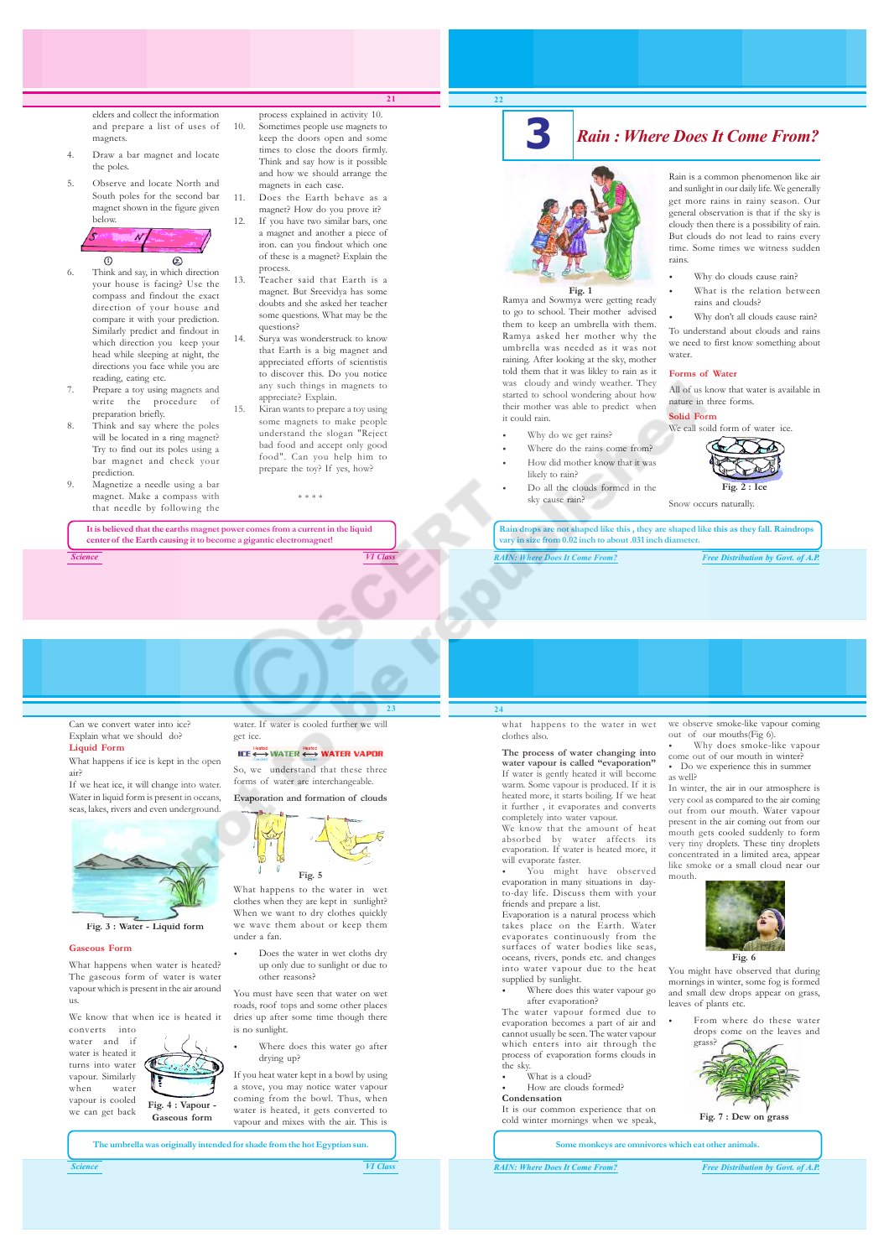elders and collect the information and prepare a list of uses of magnets.

- 4. Draw a bar magnet and locate the poles.
- 5. Observe and locate North and South poles for the second bar magnet shown in the figure given below.



- Think and say, in which direction your house is facing? Use the compass and findout the exact direction of your house and compare it with your prediction. Similarly predict and findout in which direction you keep your head while sleeping at night, the directions you face while you are reading, eating etc.
- Prepare a toy using magnets and<br>write the procedure of procedure of preparation briefly.
- 8. Think and say where the poles will be located in a ring magnet? Try to find out its poles using a bar magnet and check your prediction.
- 9. Magnetize a needle using a bar magnet. Make a compass with that needle by following the

process explained in activity 10. 10. Sometimes people use magnets to keep the doors open and some times to close the doors firmly. Think and say how is it possible and how we should arrange the magnets in each case.

**21**

- Does the Earth behave as a magnet? How do you prove it? 12. If you have two similar bars, one a magnet and another a piece of iron. can you findout which one of these is a magnet? Explain the process.
- 13. Teacher said that Earth is a magnet. But Sreevidya has some doubts and she asked her teacher some questions. What may be the questions? 14. Surya was wonderstruck to know
- that Earth is a big magnet and appreciated efforts of scientistis to discover this. Do you notice any such things in magnets to appreciate? Explain. 15. Kiran wants to prepare a toy using
	- some magnets to make people understand the slogan "Reject bad food and accept only good food". Can you help him to prepare the toy? If yes, how?

\* \* \* \*

*Science VI Class* **It is believed that the earths magnet power comes from a current in the liquid center of the Earth causing it to become a gigantic electromagnet!**



**22**

Ramya and Sowmya were getting ready **Fig. 1** to go to school. Their mother advised them to keep an umbrella with them. Ramya asked her mother why the umbrella was needed as it was not raining. After looking at the sky, mother told them that it was likley to rain as it was cloudy and windy weather. They started to school wondering about how their mother was able to predict when it could rain.

- Why do we get rains?
- Where do the rains come from? • How did mother know that it was
- likely to rain?
- Do all the clouds formed in the sky cause rain?

**3** *Rain : Where Does It Come From?*

Rain is a common phenomenon like air and sunlight in our daily life. We generally get more rains in rainy season. Our general observation is that if the sky is cloudy then there is a possibility of rain. But clouds do not lead to rains every time. Some times we witness sudden rains.

Why do clouds cause rain?

What is the relation between rains and clouds?

• Why don't all clouds cause rain? To understand about clouds and rains

we need to first know something about water.

#### **Forms of Water**

All of us know that water is available in nature in three forms.

**Solid Form** We call soild form of water ice.



Snow occurs naturally.

**Rain drops are not shaped like this , they are shaped like this as they fall. Raindrops vary in size from 0.02 inch to about .031 inch diameter.**

*PAIN: Where Does It Come From?* 



Can we convert water into ice? Explain what we should do? **Liquid Form**

What happens if ice is kept in the open air?

If we heat ice, it will change into water. Water in liquid form is present in oceans, seas, lakes, rivers and even underground.



**Fig. 3 : Water - Liquid form**

#### **Gaseous Form**

What happens when water is heated? The gaseous form of water is water vapour which is present in the air around us.

converts into<br>water and if water and water is heated it turns into water vapour. Similarly<br>when water water vapour is cooled we can get back **Fig. 4 : Vapour -**



water. If water is cooled further we will

So, we understand that these three forms of water are interchangeable. **Evaporation and formation of clouds**

**23**



**Fig. 5**

What happens to the water in wet clothes when they are kept in sunlight? When we want to dry clothes quickly we wave them about or keep them under a fan.

• Does the water in wet cloths dry up only due to sunlight or due to other reasons?

You must have seen that water on wet roads, roof tops and some other places dries up after some time though there

Where does this water go after drying up?

If you heat water kept in a bowl by using a stove, you may notice water vapour coming from the bowl. Thus, when water is heated, it gets converted to vapour and mixes with the air. This is

**The umbrella was originally intended for shade from the hot Egyptian sun.**

what happens to the water in wet clothes also.

**24**

**The process of water changing into water vapour is called "evaporation"** If water is gently heated it will become warm. Some vapour is produced. If it is heated more, it starts boiling. If we heat

it further , it evaporates and converts completely into water vapour. We know that the amount of heat

absorbed by water affects its evaporation. If water is heated more, it will evaporate faster. • You might have observed

evaporation in many situations in dayto-day life. Discuss them with your friends and prepare a list. Evaporation is a natural process which

takes place on the Earth. Water evaporates continuously from the surfaces of water bodies like seas, oceans, rivers, ponds etc. and changes into water vapour due to the heat supplied by sunlight.

where does this water vapour go after evaporation? The water vapour formed due to

evaporation becomes a part of air and cannot usually be seen. The water vapour which enters into air through the process of evaporation forms clouds in the sky.

• What is a cloud? • How are clouds formed?

**Condensation**

It is our common experience that on cold winter mornings when we speak,

we observe smoke-like vapour coming out of our mouths(Fig 6).

Why does smoke-like vapour come out of our mouth in winter? • Do we experience this in summer

as well? In winter, the air in our atmosphere is very cool as compared to the air coming out from our mouth. Water vapour present in the air coming out from our mouth gets cooled suddenly to form very tiny droplets. These tiny droplets concentrated in a limited area, appear like smoke or a small cloud near our mouth.



You might have observed that during mornings in winter, some fog is formed and small dew drops appear on grass, leaves of plants etc.



**Fig. 7 : Dew on grass**

**Some monkeys are omnivores which eat other animals.**



is no sunlight.



**Gaseous form**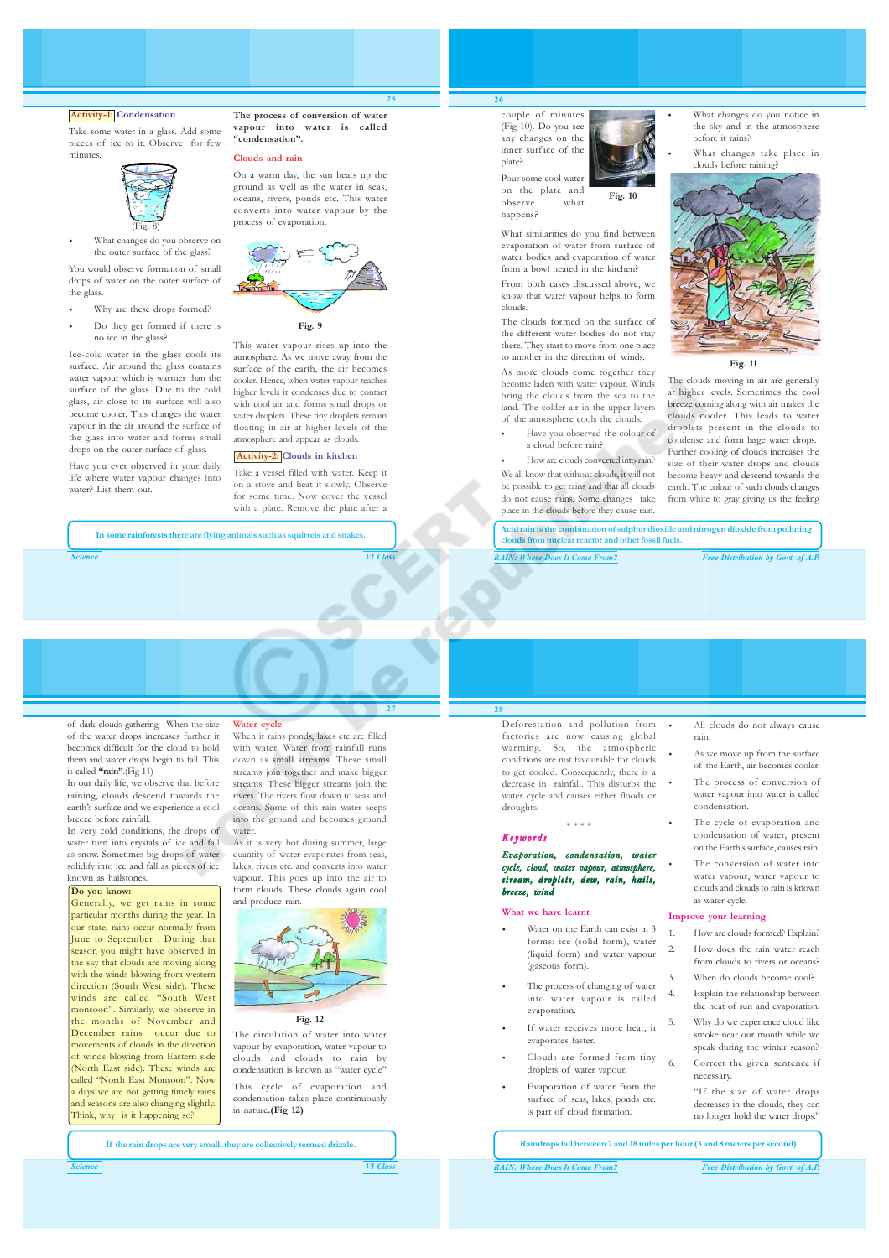#### **Activity-1: Condensation**

Take some water in a glass. Add some pieces of ice to it. Observe for few minutes.



• What changes do you observe on the outer surface of the glassi

You would observe formation of small drops of water on the outer surface of the glass

Why are these drops formed? • Do they get formed if there is no ice in the glass?

Ice-cold water in the glass cools its surface. Air around the glass contains water vapour which is warmer than the surface of the glass. Due to the cold glass, air close to its surface will also become cooler. This changes the water vapour in the air around the surface of the glass into water and forms small drops on the outer surface of glass.

Have you ever observed in your daily life where water vapour changes into water? List them out.

**The process of conversion of water vapour into water is called "condensation".**

**25**

#### **Clouds and rain**

On a warm day, the sun heats up the ground as well as the water in seas, oceans, rivers, ponds etc. This water converts into water vapour by the process of evaporation.



This water vapour rises up into the atmosphere. As we move away from the surface of the earth, the air becomes cooler. Hence, when water vapour reaches higher levels it condenses due to contact with cool air and forms small drops or water droplets. These tiny droplets remain floating in air at higher levels of the atmosphere and appear as clouds.

### **Activity-2: Clouds in kitchen**

Take a vessel filled with water. Keep it on a stove and heat it slowly. Observe for some time. Now cover the vessel with a plate. Remove the plate after a

In some rainforests there are flying animals such as squirrels and sp

*Science VI Class*

of dark clouds gathering. When the size of the water drops increases further it becomes difficult for the cloud to hold them and water drops begin to fall. This

is called **"rain"**.(Fig 11) In our daily life, we observe that before raining, clouds descend towards the earth's surface and we experience a cool breeze before rainfall.

In very cold conditions, the drops of water turn into crystals of ice and fall as snow. Sometimes big drops of water solidify into ice and fall as pieces of ice known as hailstones.

#### **Do you know:**

Generally, we get rains in some particular months during the year. In our state, rains occur normally from June to September . During that season you might have observed in the sky that clouds are moving along with the winds blowing from western direction (South West side). These winds are called "South West monsoon". Similarly, we observe in the months of November and December rains occur due to movements of clouds in the direction of winds blowing from Eastern side (North East side). These winds are called "North East Monsoon". Now a days we are not getting timely rains and seasons are also changing slightly. Think, why is it happening so?

**Water cycle** When it rains ponds, lakes etc are filled with water. Water from rainfall runs down as small streams. These small streams join together and make bigger streams. These bigger streams join the rivers. The rivers flow down to seas and oceans. Some of this rain water seeps into the ground and becomes ground water.

quantity of water evaporates from seas, lakes, rivers etc. and converts into water vapour. This goes up into the air to form clouds. These clouds again cool and produce rain.



The circulation of water into water vapour by evaporation, water vapour to clouds and clouds to rain by condensation is known as "water cycle" This cycle of evaporation and

condensation takes place continuously in nature**.(Fig 12)**

**If the rain drops are very small, they are collectively termed drizzle.**

*Science VI Class*

#### **26** couple of minutes

 $(Fi\sigma 10)$ . Do you see any changes on the inner surface of the plate? Pour some cool water

observe



on the plate and happens?

What similarities do you find between evaporation of water from surface of water bodies and evaporation of water from a bowl heated in the kitchen?

From both cases discussed above, we know that water vapour helps to form clouds.

The clouds formed on the surface of the different water bodies do not stay there. They start to move from one place to another in the direction of winds.

As more clouds come together they become laden with water vapour. Winds bring the clouds from the sea to the land. The colder air in the upper layers of the atmosphere cools the clouds.

- Have you observed the colour of a cloud before rain?
- How are clouds converted into rain?

We all know that without clouds, it will not be possible to get rains and that all clouds do not cause rains. Some changes take place in the clouds before they cause rain.

**clouds from nuclear reactor and other fossil fuels.**

rain.

*RAIN: Where Does It Come From?* 

factories are now causing global warming. So, the atmospheric conditions are not favourable for clouds to get cooled. Consequently, there is a decrease in rainfall. This disturbs the water cycle and causes either floods or droughts.

Deforestation and pollution from

#### Keywords

**28**

Evaporation, condensation, water cycle, cloud, water vap stream, droplets, dew, rain, hails, breeze, wind

\* \* \* \*

**What we have learnt**

- Water on the Earth can exist in 3 forms: ice (solid form), water (liquid form) and water vapour (gaseous form).
- The process of changing of water into water vapour is called evaporation.
- If water receives more heat, it evaporates faster.
- Clouds are formed from tiny droplets of water vapour.
- Evaporation of water from the surface of seas, lakes, ponds etc. is part of cloud formation.

- The conversion of water into as water cycle.
- from clouds to rivers or oceans?
- Explain the relationship between the heat of sun and evaporation.
- Why do we experience cloud like smoke near our mouth while we
- 6. Correct the given sentence if necessary.

"If the size of water drops decreases in the clouds, they can no longer hold the water drops."

**Raindrops fall between 7 and 18 miles per hour (3 and 8 meters per second)**

What changes do you notice in the sky and in the atmosphere before it rains?

• What changes take place in clouds before raining?



**Fig. 11**

The clouds moving in air are generally at higher levels. Sometimes the cool breeze coming along with air makes the clouds cooler. This leads to water droplets present in the clouds to condense and form large water drops. Further cooling of clouds increases the size of their water drops and clouds become heavy and descend towards the earth. The colour of such clouds changes from white to gray giving us the feeling

**Acid rain is the combination of sulphur dioxide and nitrogen dioxide from polluting**



of the Earth, air becomes cooler. • The process of conversion of water vapour into water is called condensation.

All clouds do not always cause

As we move up from the surface

- The cycle of evaporation and condensation of water, present on the Earth's surface, causes rain.
- water vapour, water vapour to clouds and clouds to rain is known

# **Improve your learning**

- 1. How are clouds formed? Explain? 2. How does the rain water reach
	- When do clouds become cool?
	-
	- speak during the winter season?
	-



**27**







**Fig. 12**